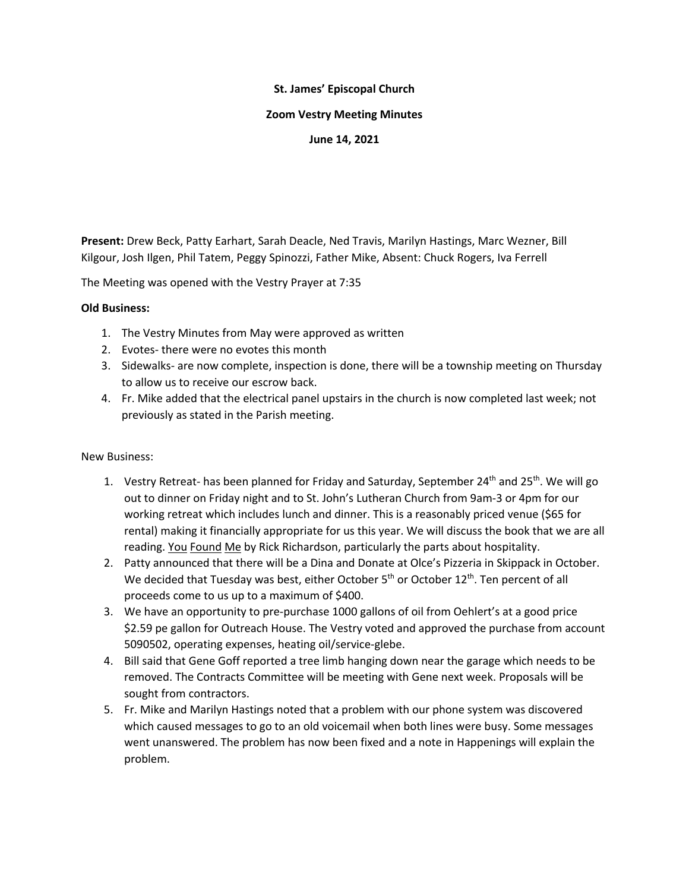### **St. James' Episcopal Church**

### **Zoom Vestry Meeting Minutes**

## **June 14, 2021**

**Present:** Drew Beck, Patty Earhart, Sarah Deacle, Ned Travis, Marilyn Hastings, Marc Wezner, Bill Kilgour, Josh Ilgen, Phil Tatem, Peggy Spinozzi, Father Mike, Absent: Chuck Rogers, Iva Ferrell

The Meeting was opened with the Vestry Prayer at 7:35

## **Old Business:**

- 1. The Vestry Minutes from May were approved as written
- 2. Evotes- there were no evotes this month
- 3. Sidewalks- are now complete, inspection is done, there will be a township meeting on Thursday to allow us to receive our escrow back.
- 4. Fr. Mike added that the electrical panel upstairs in the church is now completed last week; not previously as stated in the Parish meeting.

# New Business:

- 1. Vestry Retreat- has been planned for Friday and Saturday, September  $24^{th}$  and  $25^{th}$ . We will go out to dinner on Friday night and to St. John's Lutheran Church from 9am-3 or 4pm for our working retreat which includes lunch and dinner. This is a reasonably priced venue (\$65 for rental) making it financially appropriate for us this year. We will discuss the book that we are all reading. You Found Me by Rick Richardson, particularly the parts about hospitality.
- 2. Patty announced that there will be a Dina and Donate at Olce's Pizzeria in Skippack in October. We decided that Tuesday was best, either October  $5<sup>th</sup>$  or October  $12<sup>th</sup>$ . Ten percent of all proceeds come to us up to a maximum of \$400.
- 3. We have an opportunity to pre-purchase 1000 gallons of oil from Oehlert's at a good price \$2.59 pe gallon for Outreach House. The Vestry voted and approved the purchase from account 5090502, operating expenses, heating oil/service-glebe.
- 4. Bill said that Gene Goff reported a tree limb hanging down near the garage which needs to be removed. The Contracts Committee will be meeting with Gene next week. Proposals will be sought from contractors.
- 5. Fr. Mike and Marilyn Hastings noted that a problem with our phone system was discovered which caused messages to go to an old voicemail when both lines were busy. Some messages went unanswered. The problem has now been fixed and a note in Happenings will explain the problem.